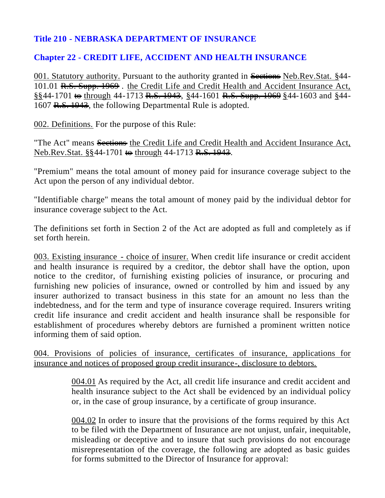## **Title 210 - NEBRASKA DEPARTMENT OF INSURANCE**

## **Chapter 22 - CREDIT LIFE, ACCIDENT AND HEALTH INSURANCE**

001. Statutory authority. Pursuant to the authority granted in Sections Neb.Rev.Stat. §44-101.01 R.S. Supp. 1969 . the Credit Life and Credit Health and Accident Insurance Act, §§44-1701 <del>to</del> through 44-1713 R.S. 1943, §44-1601 R.S. Supp. 1969 §44-1603 and §44-1607 R.S. 1943, the following Departmental Rule is adopted.

002. Definitions. For the purpose of this Rule:

"The Act" means Sections the Credit Life and Credit Health and Accident Insurance Act, Neb.Rev.Stat. §§44-1701 <del>to</del> through 44-1713 R.S. 1943.

"Premium" means the total amount of money paid for insurance coverage subject to the Act upon the person of any individual debtor.

"Identifiable charge" means the total amount of money paid by the individual debtor for insurance coverage subject to the Act.

The definitions set forth in Section 2 of the Act are adopted as full and completely as if set forth herein.

003. Existing insurance - choice of insurer. When credit life insurance or credit accident and health insurance is required by a creditor, the debtor shall have the option, upon notice to the creditor, of furnishing existing policies of insurance, or procuring and furnishing new policies of insurance, owned or controlled by him and issued by any insurer authorized to transact business in this state for an amount no less than the indebtedness, and for the term and type of insurance coverage required. Insurers writing credit life insurance and credit accident and health insurance shall be responsible for establishment of procedures whereby debtors are furnished a prominent written notice informing them of said option.

004. Provisions of policies of insurance, certificates of insurance, applications for insurance and notices of proposed group credit insurance-, disclosure to debtors.

> 004.01 As required by the Act, all credit life insurance and credit accident and health insurance subject to the Act shall be evidenced by an individual policy or, in the case of group insurance, by a certificate of group insurance.

> 004.02 In order to insure that the provisions of the forms required by this Act to be filed with the Department of Insurance are not unjust, unfair, inequitable, misleading or deceptive and to insure that such provisions do not encourage misrepresentation of the coverage, the following are adopted as basic guides for forms submitted to the Director of Insurance for approval: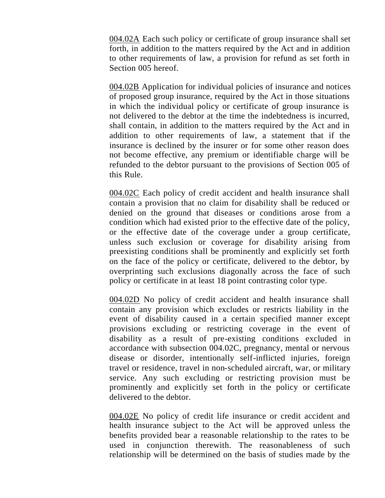004.02A Each such policy or certificate of group insurance shall set forth, in addition to the matters required by the Act and in addition to other requirements of law, a provision for refund as set forth in Section 005 hereof.

004.02B Application for individual policies of insurance and notices of proposed group insurance, required by the Act in those situations in which the individual policy or certificate of group insurance is not delivered to the debtor at the time the indebtedness is incurred, shall contain, in addition to the matters required by the Act and in addition to other requirements of law, a statement that if the insurance is declined by the insurer or for some other reason does not become effective, any premium or identifiable charge will be refunded to the debtor pursuant to the provisions of Section 005 of this Rule.

004.02C Each policy of credit accident and health insurance shall contain a provision that no claim for disability shall be reduced or denied on the ground that diseases or conditions arose from a condition which had existed prior to the effective date of the policy, or the effective date of the coverage under a group certificate, unless such exclusion or coverage for disability arising from preexisting conditions shall be prominently and explicitly set forth on the face of the policy or certificate, delivered to the debtor, by overprinting such exclusions diagonally across the face of such policy or certificate in at least 18 point contrasting color type.

004.02D No policy of credit accident and health insurance shall contain any provision which excludes or restricts liability in the event of disability caused in a certain specified manner except provisions excluding or restricting coverage in the event of disability as a result of pre-existing conditions excluded in accordance with subsection 004.02C, pregnancy, mental or nervous disease or disorder, intentionally self-inflicted injuries, foreign travel or residence, travel in non-scheduled aircraft, war, or military service. Any such excluding or restricting provision must be prominently and explicitly set forth in the policy or certificate delivered to the debtor.

004.02E No policy of credit life insurance or credit accident and health insurance subject to the Act will be approved unless the benefits provided bear a reasonable relationship to the rates to be used in conjunction therewith. The reasonableness of such relationship will be determined on the basis of studies made by the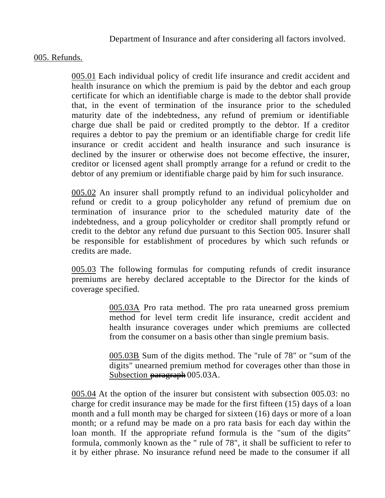Department of Insurance and after considering all factors involved.

## 005. Refunds.

005.01 Each individual policy of credit life insurance and credit accident and health insurance on which the premium is paid by the debtor and each group certificate for which an identifiable charge is made to the debtor shall provide that, in the event of termination of the insurance prior to the scheduled maturity date of the indebtedness, any refund of premium or identifiable charge due shall be paid or credited promptly to the debtor. If a creditor requires a debtor to pay the premium or an identifiable charge for credit life insurance or credit accident and health insurance and such insurance is declined by the insurer or otherwise does not become effective, the insurer, creditor or licensed agent shall promptly arrange for a refund or credit to the debtor of any premium or identifiable charge paid by him for such insurance.

005.02 An insurer shall promptly refund to an individual policyholder and refund or credit to a group policyholder any refund of premium due on termination of insurance prior to the scheduled maturity date of the indebtedness, and a group policyholder or creditor shall promptly refund or credit to the debtor any refund due pursuant to this Section 005. Insurer shall be responsible for establishment of procedures by which such refunds or credits are made.

005.03 The following formulas for computing refunds of credit insurance premiums are hereby declared acceptable to the Director for the kinds of coverage specified.

> 005.03A Pro rata method. The pro rata unearned gross premium method for level term credit life insurance, credit accident and health insurance coverages under which premiums are collected from the consumer on a basis other than single premium basis.

> 005.03B Sum of the digits method. The "rule of 78" or "sum of the digits" unearned premium method for coverages other than those in Subsection paragraph 005.03A.

005.04 At the option of the insurer but consistent with subsection 005.03: no charge for credit insurance may be made for the first fifteen (15) days of a loan month and a full month may be charged for sixteen (16) days or more of a loan month; or a refund may be made on a pro rata basis for each day within the loan month. If the appropriate refund formula is the "sum of the digits" formula, commonly known as the " rule of 78", it shall be sufficient to refer to it by either phrase. No insurance refund need be made to the consumer if all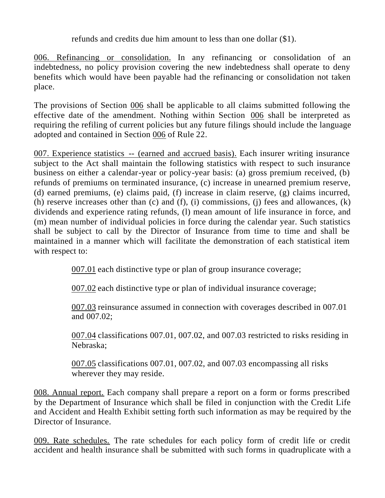refunds and credits due him amount to less than one dollar (\$1).

006. Refinancing or consolidation. In any refinancing or consolidation of an indebtedness, no policy provision covering the new indebtedness shall operate to deny benefits which would have been payable had the refinancing or consolidation not taken place.

The provisions of Section 006 shall be applicable to all claims submitted following the effective date of the amendment. Nothing within Section 006 shall be interpreted as requiring the refiling of current policies but any future filings should include the language adopted and contained in Section 006 of Rule 22.

007. Experience statistics -- (earned and accrued basis). Each insurer writing insurance subject to the Act shall maintain the following statistics with respect to such insurance business on either a calendar-year or policy-year basis: (a) gross premium received, (b) refunds of premiums on terminated insurance, (c) increase in unearned premium reserve, (d) earned premiums, (e) claims paid, (f) increase in claim reserve, (g) claims incurred, (h) reserve increases other than (c) and (f), (i) commissions, (j) fees and allowances, (k) dividends and experience rating refunds, (l) mean amount of life insurance in force, and (m) mean number of individual policies in force during the calendar year. Such statistics shall be subject to call by the Director of Insurance from time to time and shall be maintained in a manner which will facilitate the demonstration of each statistical item with respect to:

007.01 each distinctive type or plan of group insurance coverage;

007.02 each distinctive type or plan of individual insurance coverage;

007.03 reinsurance assumed in connection with coverages described in 007.01 and 007.02;

007.04 classifications 007.01, 007.02, and 007.03 restricted to risks residing in Nebraska;

007.05 classifications 007.01, 007.02, and 007.03 encompassing all risks wherever they may reside.

008. Annual report. Each company shall prepare a report on a form or forms prescribed by the Department of Insurance which shall be filed in conjunction with the Credit Life and Accident and Health Exhibit setting forth such information as may be required by the Director of Insurance.

009. Rate schedules. The rate schedules for each policy form of credit life or credit accident and health insurance shall be submitted with such forms in quadruplicate with a